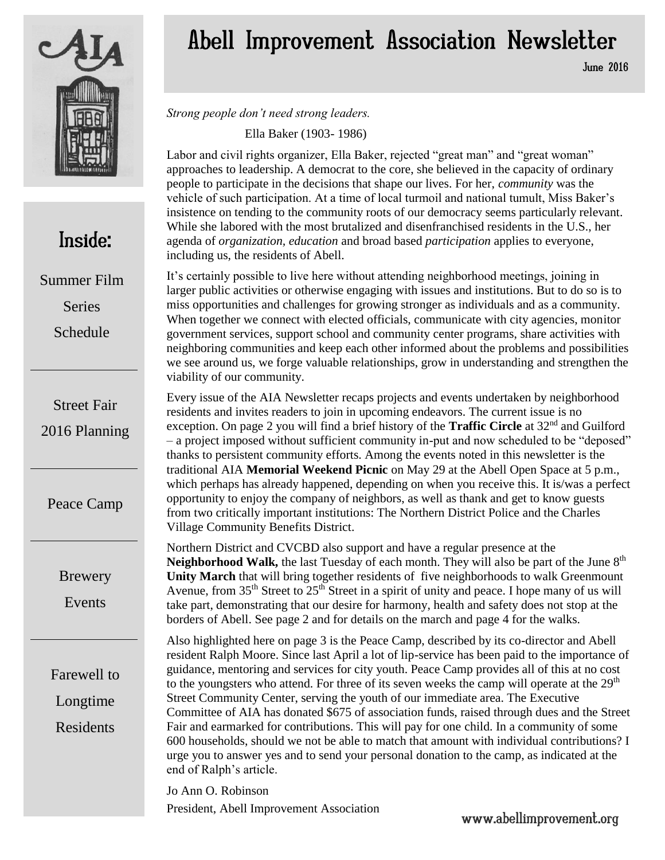

## Inside:

Summer Film Series

Schedule

Street Fair 2016 Planning

Peace Camp

Brewery

Events

Farewell to Longtime Residents

## Abell Improvement Association Newsletter

June 2016

*Strong people don't need strong leaders.*

Ella Baker (1903- 1986)

Labor and civil rights organizer, Ella Baker, rejected "great man" and "great woman" approaches to leadership. A democrat to the core, she believed in the capacity of ordinary people to participate in the decisions that shape our lives. For her, *community* was the vehicle of such participation. At a time of local turmoil and national tumult, Miss Baker's insistence on tending to the community roots of our democracy seems particularly relevant. While she labored with the most brutalized and disenfranchised residents in the U.S., her agenda of *organization, education* and broad based *participation* applies to everyone, including us, the residents of Abell.

It's certainly possible to live here without attending neighborhood meetings, joining in larger public activities or otherwise engaging with issues and institutions. But to do so is to miss opportunities and challenges for growing stronger as individuals and as a community. When together we connect with elected officials, communicate with city agencies, monitor government services, support school and community center programs, share activities with neighboring communities and keep each other informed about the problems and possibilities we see around us, we forge valuable relationships, grow in understanding and strengthen the viability of our community.

Every issue of the AIA Newsletter recaps projects and events undertaken by neighborhood residents and invites readers to join in upcoming endeavors. The current issue is no exception. On page 2 you will find a brief history of the **Traffic Circle** at 32<sup>nd</sup> and Guilford – a project imposed without sufficient community in-put and now scheduled to be "deposed" thanks to persistent community efforts. Among the events noted in this newsletter is the traditional AIA **Memorial Weekend Picnic** on May 29 at the Abell Open Space at 5 p.m., which perhaps has already happened, depending on when you receive this. It is/was a perfect opportunity to enjoy the company of neighbors, as well as thank and get to know guests from two critically important institutions: The Northern District Police and the Charles Village Community Benefits District.

Northern District and CVCBD also support and have a regular presence at the **Neighborhood Walk,** the last Tuesday of each month. They will also be part of the June 8<sup>th</sup> **Unity March** that will bring together residents of five neighborhoods to walk Greenmount Avenue, from 35<sup>th</sup> Street to 25<sup>th</sup> Street in a spirit of unity and peace. I hope many of us will take part, demonstrating that our desire for harmony, health and safety does not stop at the borders of Abell. See page 2 and for details on the march and page 4 for the walks.

Also highlighted here on page 3 is the Peace Camp, described by its co-director and Abell resident Ralph Moore. Since last April a lot of lip-service has been paid to the importance of guidance, mentoring and services for city youth. Peace Camp provides all of this at no cost to the youngsters who attend. For three of its seven weeks the camp will operate at the  $29<sup>th</sup>$ Street Community Center, serving the youth of our immediate area. The Executive Committee of AIA has donated \$675 of association funds, raised through dues and the Street Fair and earmarked for contributions. This will pay for one child. In a community of some 600 households, should we not be able to match that amount with individual contributions? I urge you to answer yes and to send your personal donation to the camp, as indicated at the end of Ralph's article.

Jo Ann O. Robinson President, Abell Improvement Association www.abellimprovement.org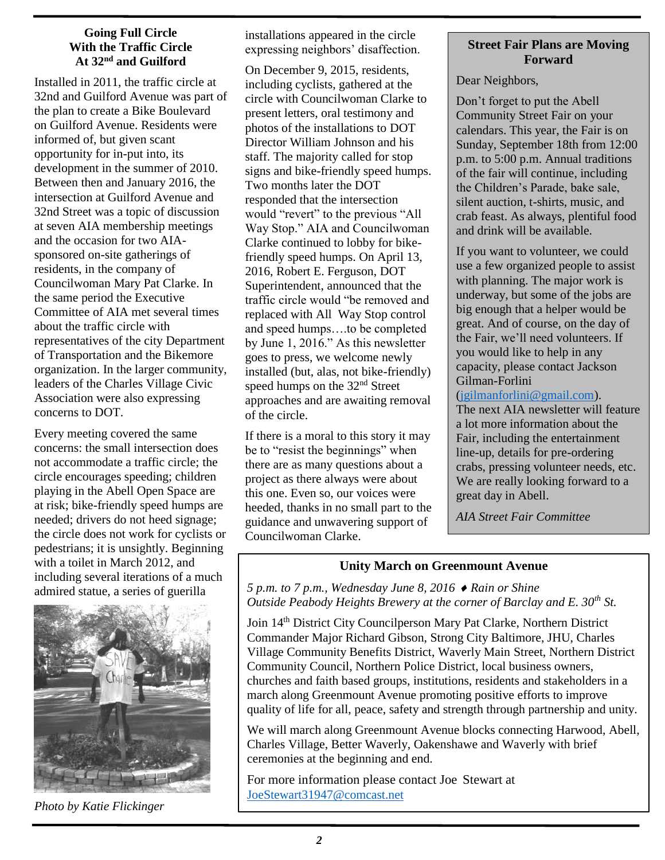#### **Going Full Circle With the Traffic Circle At 32nd and Guilford**

Installed in 2011, the traffic circle at 32nd and Guilford Avenue was part of the plan to create a Bike Boulevard on Guilford Avenue. Residents were informed of, but given scant opportunity for in-put into, its development in the summer of 2010. Between then and January 2016, the intersection at Guilford Avenue and 32nd Street was a topic of discussion at seven AIA membership meetings and the occasion for two AIAsponsored on-site gatherings of residents, in the company of Councilwoman Mary Pat Clarke. In the same period the Executive Committee of AIA met several times about the traffic circle with representatives of the city Department of Transportation and the Bikemore organization. In the larger community, leaders of the Charles Village Civic Association were also expressing concerns to DOT.

Every meeting covered the same concerns: the small intersection does not accommodate a traffic circle; the circle encourages speeding; children playing in the Abell Open Space are at risk; bike-friendly speed humps are needed; drivers do not heed signage; the circle does not work for cyclists or pedestrians; it is unsightly. Beginning with a toilet in March 2012, and including several iterations of a much admired statue, a series of guerilla



*Photo by Katie Flickinger*

installations appeared in the circle expressing neighbors' disaffection.

On December 9, 2015, residents, including cyclists, gathered at the circle with Councilwoman Clarke to present letters, oral testimony and photos of the installations to DOT Director William Johnson and his staff. The majority called for stop signs and bike-friendly speed humps. Two months later the DOT responded that the intersection would "revert" to the previous "All Way Stop." AIA and Councilwoman Clarke continued to lobby for bikefriendly speed humps. On April 13, 2016, Robert E. Ferguson, DOT Superintendent, announced that the traffic circle would "be removed and replaced with All Way Stop control and speed humps….to be completed by June 1, 2016." As this newsletter goes to press, we welcome newly installed (but, alas, not bike-friendly) speed humps on the 32<sup>nd</sup> Street approaches and are awaiting removal of the circle.

If there is a moral to this story it may be to "resist the beginnings" when there are as many questions about a project as there always were about this one. Even so, our voices were heeded, thanks in no small part to the guidance and unwavering support of Councilwoman Clarke.

#### **Street Fair Plans are Moving Forward**

Dear Neighbors,

Don't forget to put the Abell Community Street Fair on your calendars. This year, the Fair is on Sunday, September 18th from 12:00 p.m. to 5:00 p.m. Annual traditions of the fair will continue, including the Children's Parade, bake sale, silent auction, t-shirts, music, and crab feast. As always, plentiful food and drink will be available.

If you want to volunteer, we could use a few organized people to assist with planning. The major work is underway, but some of the jobs are big enough that a helper would be great. And of course, on the day of the Fair, we'll need volunteers. If you would like to help in any capacity, please contact Jackson Gilman-Forlini

[\(jgilmanforlini@gmail.com\)](mailto:jgilmanforlini@gmail.com).

The next AIA newsletter will feature a lot more information about the Fair, including the entertainment line-up, details for pre-ordering crabs, pressing volunteer needs, etc. We are really looking forward to a great day in Abell.

*AIA Street Fair Committee*

#### **Unity March on Greenmount Avenue**

*5 p.m. to 7 p.m., Wednesday June 8, 2016 Rain or Shine Outside Peabody Heights Brewery at the corner of Barclay and E. 30th St.*

Join 14th District City Councilperson Mary Pat Clarke, Northern District Commander Major Richard Gibson, Strong City Baltimore, JHU, Charles Village Community Benefits District, Waverly Main Street, Northern District Community Council, Northern Police District, local business owners, churches and faith based groups, institutions, residents and stakeholders in a march along Greenmount Avenue promoting positive efforts to improve quality of life for all, peace, safety and strength through partnership and unity.

We will march along Greenmount Avenue blocks connecting Harwood, Abell, Charles Village, Better Waverly, Oakenshawe and Waverly with brief ceremonies at the beginning and end.

For more information please contact Joe Stewart at [JoeStewart31947@comcast.net](mailto:JoeStewart31947@comcast.net)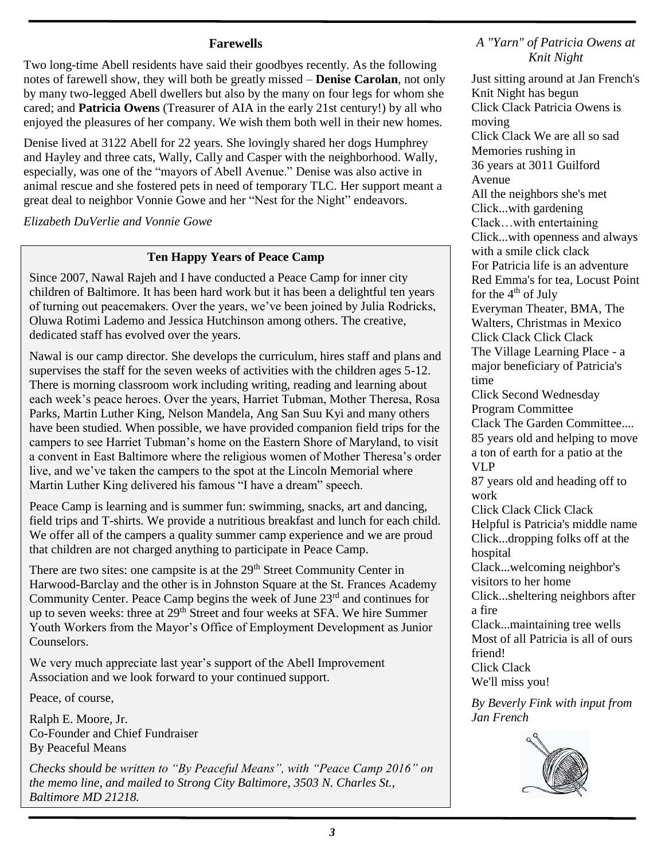#### **Farewells**

Two long-time Abell residents have said their goodbyes recently. As the following notes of farewell show, they will both be greatly missed – **Denise Carolan**, not only by many two-legged Abell dwellers but also by the many on four legs for whom she cared; and **Patricia Owens** (Treasurer of AIA in the early 21st century!) by all who enjoyed the pleasures of her company. We wish them both well in their new homes.

Denise lived at 3122 Abell for 22 years. She lovingly shared her dogs Humphrey and Hayley and three cats, Wally, Cally and Casper with the neighborhood. Wally, especially, was one of the "mayors of Abell Avenue." Denise was also active in animal rescue and she fostered pets in need of temporary TLC. Her support meant a great deal to neighbor Vonnie Gowe and her "Nest for the Night" endeavors.

*Elizabeth DuVerlie and Vonnie Gowe*

#### **Ten Happy Years of Peace Camp**

Since 2007, Nawal Rajeh and I have conducted a Peace Camp for inner city children of Baltimore. It has been hard work but it has been a delightful ten years of turning out peacemakers. Over the years, we've been joined by Julia Rodricks, Oluwa Rotimi Lademo and Jessica Hutchinson among others. The creative, dedicated staff has evolved over the years.

Nawal is our camp director. She develops the curriculum, hires staff and plans and supervises the staff for the seven weeks of activities with the children ages 5-12. There is morning classroom work including writing, reading and learning about each week's peace heroes. Over the years, Harriet Tubman, Mother Theresa, Rosa Parks, Martin Luther King, Nelson Mandela, Ang San Suu Kyi and many others have been studied. When possible, we have provided companion field trips for the campers to see Harriet Tubman's home on the Eastern Shore of Maryland, to visit a convent in East Baltimore where the religious women of Mother Theresa's order live, and we've taken the campers to the spot at the Lincoln Memorial where Martin Luther King delivered his famous "I have a dream" speech.

Peace Camp is learning and is summer fun: swimming, snacks, art and dancing, field trips and T-shirts. We provide a nutritious breakfast and lunch for each child. We offer all of the campers a quality summer camp experience and we are proud that children are not charged anything to participate in Peace Camp.

There are two sites: one campsite is at the 29<sup>th</sup> Street Community Center in Harwood-Barclay and the other is in Johnston Square at the St. Frances Academy Community Center. Peace Camp begins the week of June 23<sup>rd</sup> and continues for up to seven weeks: three at 29<sup>th</sup> Street and four weeks at SFA. We hire Summer Youth Workers from the Mayor's Office of Employment Development as Junior **Counselors** 

We very much appreciate last year's support of the Abell Improvement Association and we look forward to your continued support.

Peace, of course,

Ralph E. Moore, Jr. Co-Founder and Chief Fundraiser By Peaceful Means

*Checks should be written to "By Peaceful Means", with "Peace Camp 2016" on the memo line, and mailed to Strong City Baltimore, 3503 N. Charles St., Baltimore MD 21218.*

*A "Yarn" of Patricia Owens at Knit Night*

Just sitting around at Jan French's Knit Night has begun Click Clack Patricia Owens is moving Click Clack We are all so sad Memories rushing in 36 years at 3011 Guilford Avenue All the neighbors she's met Click...with gardening Clack…with entertaining Click...with openness and always with a smile click clack For Patricia life is an adventure Red Emma's for tea, Locust Point for the  $4<sup>th</sup>$  of July Everyman Theater, BMA, The Walters, Christmas in Mexico Click Clack Click Clack The Village Learning Place - a major beneficiary of Patricia's time Click Second Wednesday Program Committee Clack The Garden Committee.... 85 years old and helping to move a ton of earth for a patio at the VLP 87 years old and heading off to work Click Clack Click Clack Helpful is Patricia's middle name Click...dropping folks off at the hospital Clack...welcoming neighbor's visitors to her home Click...sheltering neighbors after a fire Clack...maintaining tree wells Most of all Patricia is all of ours friend! Click Clack We'll miss you! *By Beverly Fink with input from Jan French*

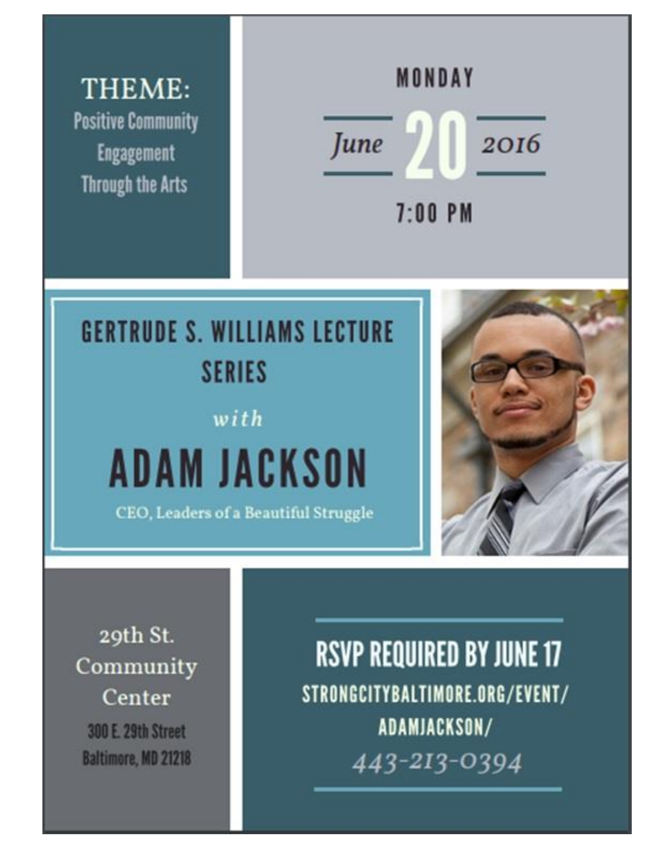THEME: **Positive Community Engagement Through the Arts** 



# **GERTRUDE S. WILLIAMS LECTURE SERIES**

## with

# **ADAM JACKSON**

CEO, Leaders of a Beautiful Struggle



29th St. Community Center 300 E. 29th Street Baltimore, MD 21218

**RSVP REQUIRED BY JUNE 17** STRONGCITYBALTIMORE.ORG/EVENT/ ADAMJACKSON/ 443-213-0394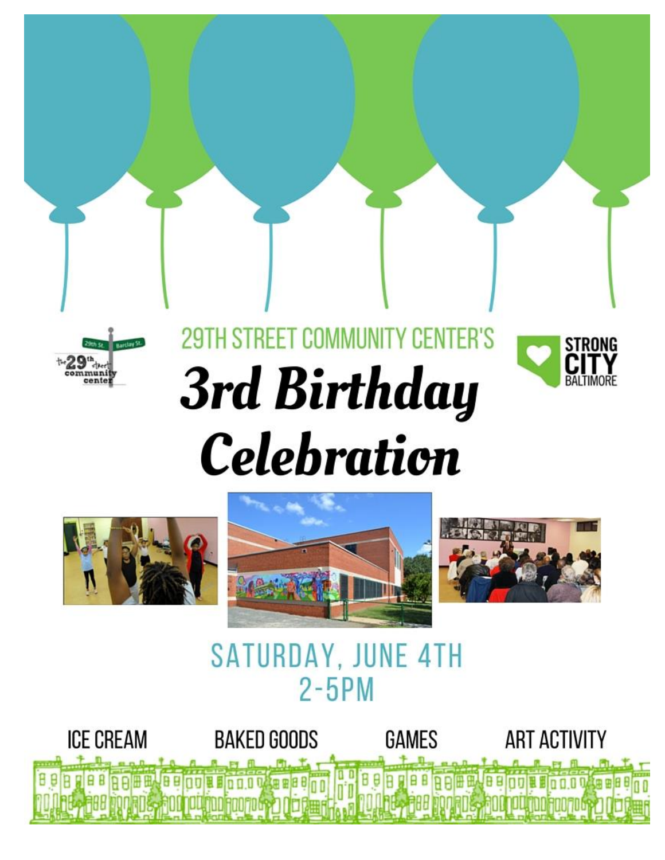

## **29TH STREET COMMUNIT** Y CENTER'S **3rd Birthday Celebration**





## **SATURDAY, JUNE 4TH**  $2 - 5$ PM

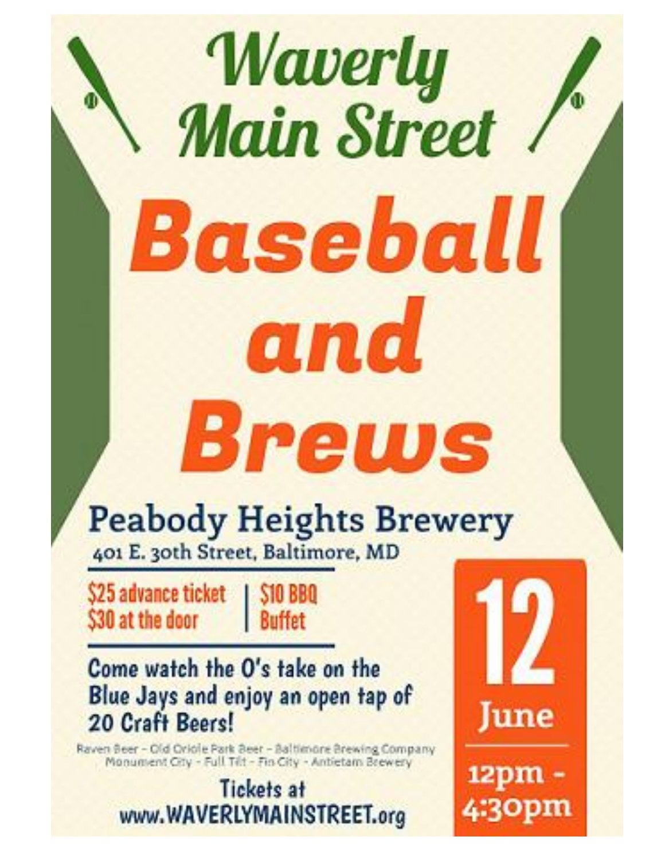# Waverly **Main Street** Baseball and **Brews**

# **Peabody Heights Brewery**

401 E. 30th Street, Baltimore, MD

\$25 advance ticket \$30 at the door

**S10 BBQ Buffet** 

## Come watch the O's take on the Blue Jays and enjoy an open tap of 20 Craft Beers!

Raven Beer - Old Oriole Park Beer - Baltimore Brewing Company<br>Monument City - Full Tilt - Fin City - Antietam Brewery

**Tickets at** www.WAVERLYMAINSTREET.org



12pm